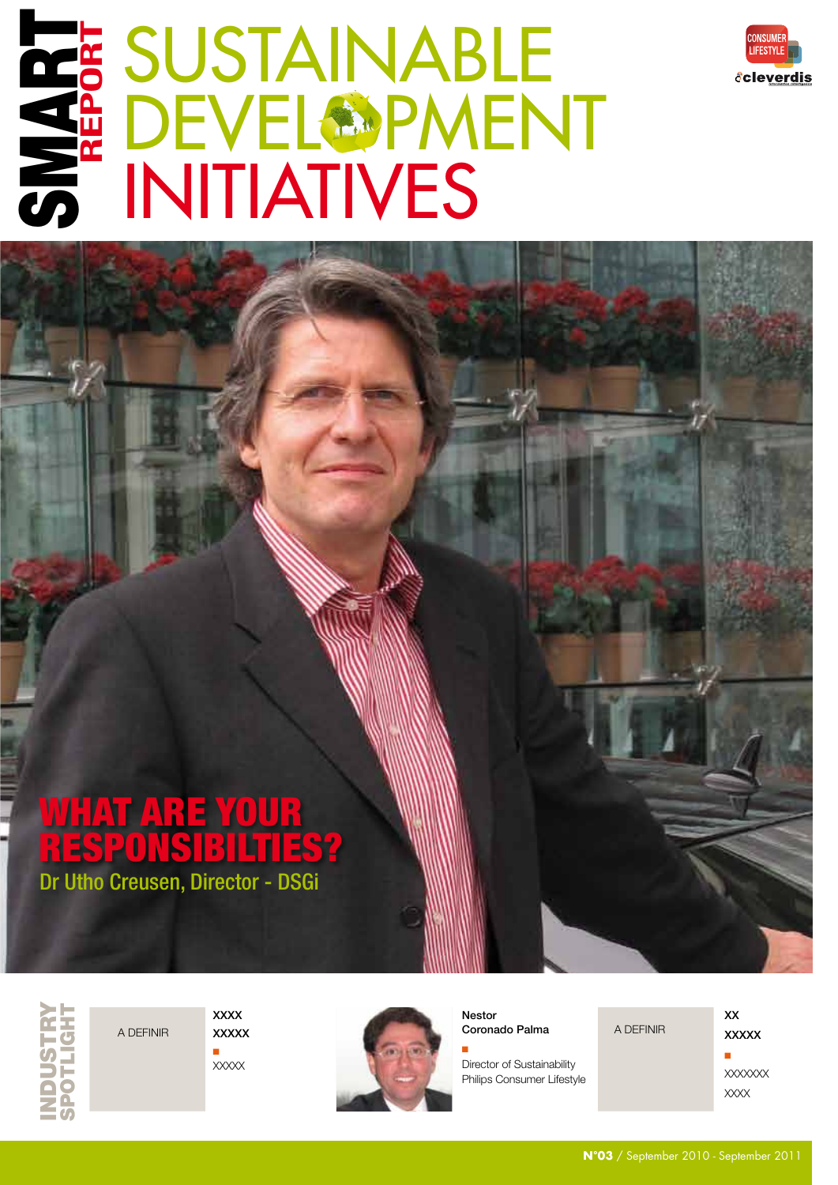

# SUSTAINABLE **DEVEL®PMENT SE SUSTAINAR<br>SE DEVELOPM<br>SE INITIATIVES REPORT**

## Dr Utho Creusen, Director - DSGi WHAT ARE YOUR RESPONSIBILTIES?

INDUSTRY SPOTLIGHT

 $\Box$ XXXXX

XXXX XXXXX



Nestor

 $X \rightarrow \infty$ 

Q Director of Sustainability Philips Consumer Lifestyle

**XXXXX**  $\blacksquare$ XXXXXXX XXXX

XX